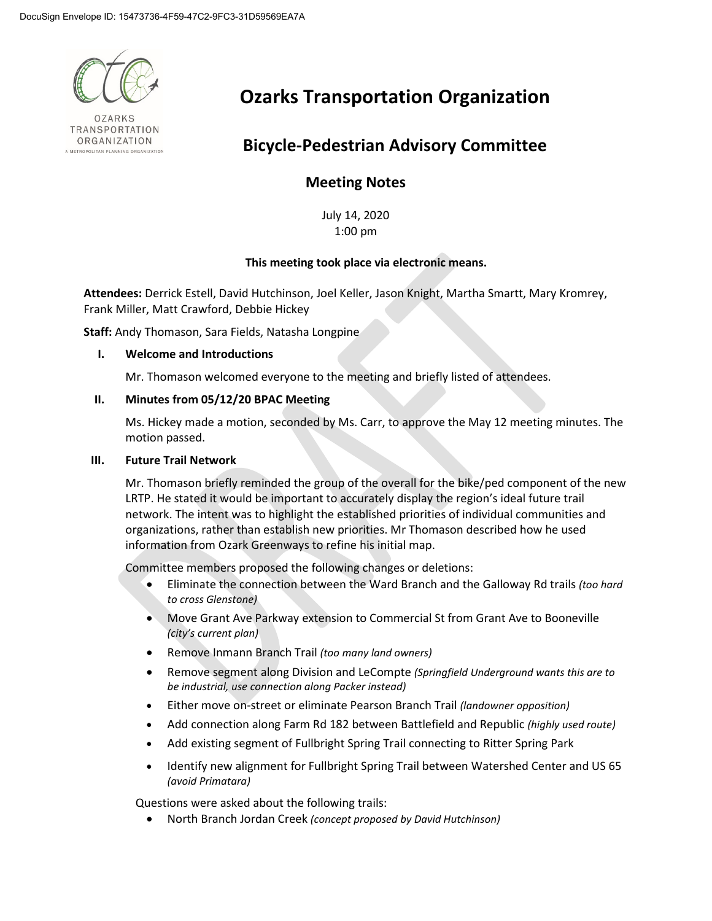

**OZARKS** TRANSPORTATION ORGANIZATION METROPOLITAN PLANNING ORGANIZATION

# **Ozarks Transportation Organization**

## **Bicycle-Pedestrian Advisory Committee**

### **Meeting Notes**

July 14, 2020 1:00 pm

#### **This meeting took place via electronic means.**

**Attendees:** Derrick Estell, David Hutchinson, Joel Keller, Jason Knight, Martha Smartt, Mary Kromrey, Frank Miller, Matt Crawford, Debbie Hickey

**Staff:** Andy Thomason, Sara Fields, Natasha Longpine

#### **I. Welcome and Introductions**

Mr. Thomason welcomed everyone to the meeting and briefly listed of attendees.

#### **II. Minutes from 05/12/20 BPAC Meeting**

Ms. Hickey made a motion, seconded by Ms. Carr, to approve the May 12 meeting minutes. The motion passed.

#### **III. Future Trail Network**

Mr. Thomason briefly reminded the group of the overall for the bike/ped component of the new LRTP. He stated it would be important to accurately display the region's ideal future trail network. The intent was to highlight the established priorities of individual communities and organizations, rather than establish new priorities. Mr Thomason described how he used information from Ozark Greenways to refine his initial map.

Committee members proposed the following changes or deletions:

- Eliminate the connection between the Ward Branch and the Galloway Rd trails *(too hard to cross Glenstone)*
- Move Grant Ave Parkway extension to Commercial St from Grant Ave to Booneville *(city's current plan)*
- Remove Inmann Branch Trail *(too many land owners)*
- Remove segment along Division and LeCompte *(Springfield Underground wants this are to be industrial, use connection along Packer instead)*
- Either move on-street or eliminate Pearson Branch Trail *(landowner opposition)*
- Add connection along Farm Rd 182 between Battlefield and Republic *(highly used route)*
- Add existing segment of Fullbright Spring Trail connecting to Ritter Spring Park
- Identify new alignment for Fullbright Spring Trail between Watershed Center and US 65 *(avoid Primatara)*

Questions were asked about the following trails:

• North Branch Jordan Creek *(concept proposed by David Hutchinson)*